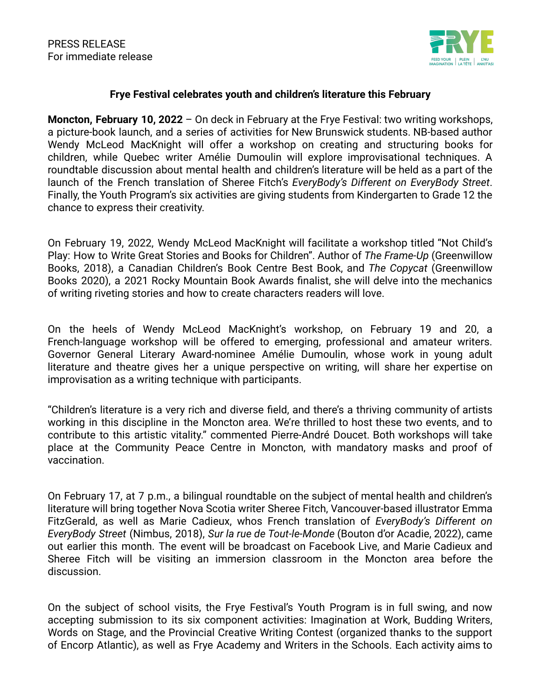

## **Frye Festival celebrates youth and children's literature this February**

**Moncton, February 10, 2022** – On deck in February at the Frye Festival: two writing workshops, a picture-book launch, and a series of activities for New Brunswick students. NB-based author Wendy McLeod MacKnight will offer a workshop on creating and structuring books for children, while Quebec writer Amélie Dumoulin will explore improvisational techniques. A roundtable discussion about mental health and children's literature will be held as a part of the launch of the French translation of Sheree Fitch's *EveryBody's Different on EveryBody Street*. Finally, the Youth Program's six activities are giving students from Kindergarten to Grade 12 the chance to express their creativity.

On February 19, 2022, Wendy McLeod MacKnight will facilitate a workshop titled "Not Child's Play: How to Write Great Stories and Books for Children". Author of *The Frame-Up* (Greenwillow Books, 2018), a Canadian Children's Book Centre Best Book, and *The Copycat* (Greenwillow Books 2020), a 2021 Rocky Mountain Book Awards finalist, she will delve into the mechanics of writing riveting stories and how to create characters readers will love.

On the heels of Wendy McLeod MacKnight's workshop, on February 19 and 20, a French-language workshop will be offered to emerging, professional and amateur writers. Governor General Literary Award-nominee Amélie Dumoulin, whose work in young adult literature and theatre gives her a unique perspective on writing, will share her expertise on improvisation as a writing technique with participants.

"Children's literature is a very rich and diverse field, and there's a thriving community of artists working in this discipline in the Moncton area. We're thrilled to host these two events, and to contribute to this artistic vitality." commented Pierre-André Doucet. Both workshops will take place at the Community Peace Centre in Moncton, with mandatory masks and proof of vaccination.

On February 17, at 7 p.m., a bilingual roundtable on the subject of mental health and children's literature will bring together Nova Scotia writer Sheree Fitch, Vancouver-based illustrator Emma FitzGerald, as well as Marie Cadieux, whos French translation of *EveryBody's Different on EveryBody Street* (Nimbus, 2018), *Sur la rue de Tout-le-Monde* (Bouton d'or Acadie, 2022), came out earlier this month. The event will be broadcast on Facebook Live, and Marie Cadieux and Sheree Fitch will be visiting an immersion classroom in the Moncton area before the discussion.

On the subject of school visits, the Frye Festival's Youth Program is in full swing, and now accepting submission to its six component activities: Imagination at Work, Budding Writers, Words on Stage, and the Provincial Creative Writing Contest (organized thanks to the support of Encorp Atlantic), as well as Frye Academy and Writers in the Schools. Each activity aims to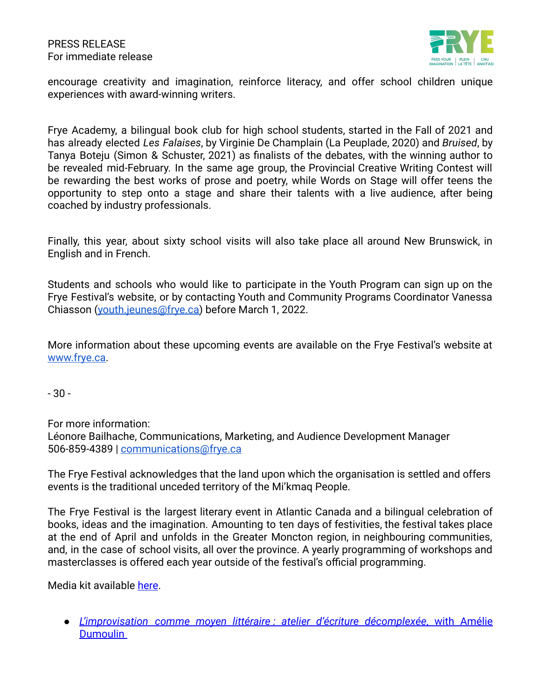

encourage creativity and imagination, reinforce literacy, and offer school children unique experiences with award-winning writers.

Frye Academy, a bilingual book club for high school students, started in the Fall of 2021 and has already elected *Les Falaises*, by Virginie De Champlain (La Peuplade, 2020) and *Bruised*, by Tanya Boteju (Simon & Schuster, 2021) as finalists of the debates, with the winning author to be revealed mid-February. In the same age group, the Provincial Creative Writing Contest will be rewarding the best works of prose and poetry, while Words on Stage will offer teens the opportunity to step onto a stage and share their talents with a live audience, after being coached by industry professionals.

Finally, this year, about sixty school visits will also take place all around New Brunswick, in English and in French.

Students and schools who would like to participate in the Youth Program can sign up on the Frye Festival's website, or by contacting Youth and Community Programs Coordinator Vanessa Chiasson ([youth.jeunes@frye.ca\)](mailto:youth.jeunes@frye.ca) before March 1, 2022.

More information about these upcoming events are available on the Frye Festival's website at [www.frye.ca.](http://www.frye.ca/)

- 30 -

For more information:

Léonore Bailhache, Communications, Marketing, and Audience Development Manager 506-859-4389 | [communications@frye.ca](mailto:communications@frye.ca)

The Frye Festival acknowledges that the land upon which the organisation is settled and offers events is the traditional unceded territory of the Mi'kmaq People.

The Frye Festival is the largest literary event in Atlantic Canada and a bilingual celebration of books, ideas and the imagination. Amounting to ten days of festivities, the festival takes place at the end of April and unfolds in the Greater Moncton region, in neighbouring communities, and, in the case of school visits, all over the province. A yearly programming of workshops and masterclasses is offered each year outside of the festival's official programming.

Media kit available [here](https://drive.google.com/drive/folders/1XzIUtDG1NCpJNfJkg6yEaQMdiui4vx4w?usp=sharing).

● *[L'improvisation](https://www.frye.ca/atelier-avec-amelie-dumoulin) comme moyen littéraire : atelier d'écriture décomplexée*, with Amélie [Dumoulin](https://www.frye.ca/atelier-avec-amelie-dumoulin)